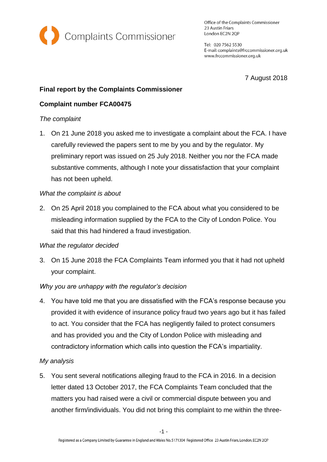

Office of the Complaints Commissioner 23 Austin Friars London EC2N 2QP

Tel: 020 7562 5530 E-mail: complaints@frccommissioner.org.uk www.frccommissioner.org.uk

7 August 2018

# **Final report by the Complaints Commissioner**

# **Complaint number FCA00475**

### *The complaint*

1. On 21 June 2018 you asked me to investigate a complaint about the FCA. I have carefully reviewed the papers sent to me by you and by the regulator. My preliminary report was issued on 25 July 2018. Neither you nor the FCA made substantive comments, although I note your dissatisfaction that your complaint has not been upheld.

### *What the complaint is about*

2. On 25 April 2018 you complained to the FCA about what you considered to be misleading information supplied by the FCA to the City of London Police. You said that this had hindered a fraud investigation.

#### *What the regulator decided*

3. On 15 June 2018 the FCA Complaints Team informed you that it had not upheld your complaint.

## *Why you are unhappy with the regulator's decision*

4. You have told me that you are dissatisfied with the FCA's response because you provided it with evidence of insurance policy fraud two years ago but it has failed to act. You consider that the FCA has negligently failed to protect consumers and has provided you and the City of London Police with misleading and contradictory information which calls into question the FCA's impartiality.

## *My analysis*

5. You sent several notifications alleging fraud to the FCA in 2016. In a decision letter dated 13 October 2017, the FCA Complaints Team concluded that the matters you had raised were a civil or commercial dispute between you and another firm/individuals. You did not bring this complaint to me within the three